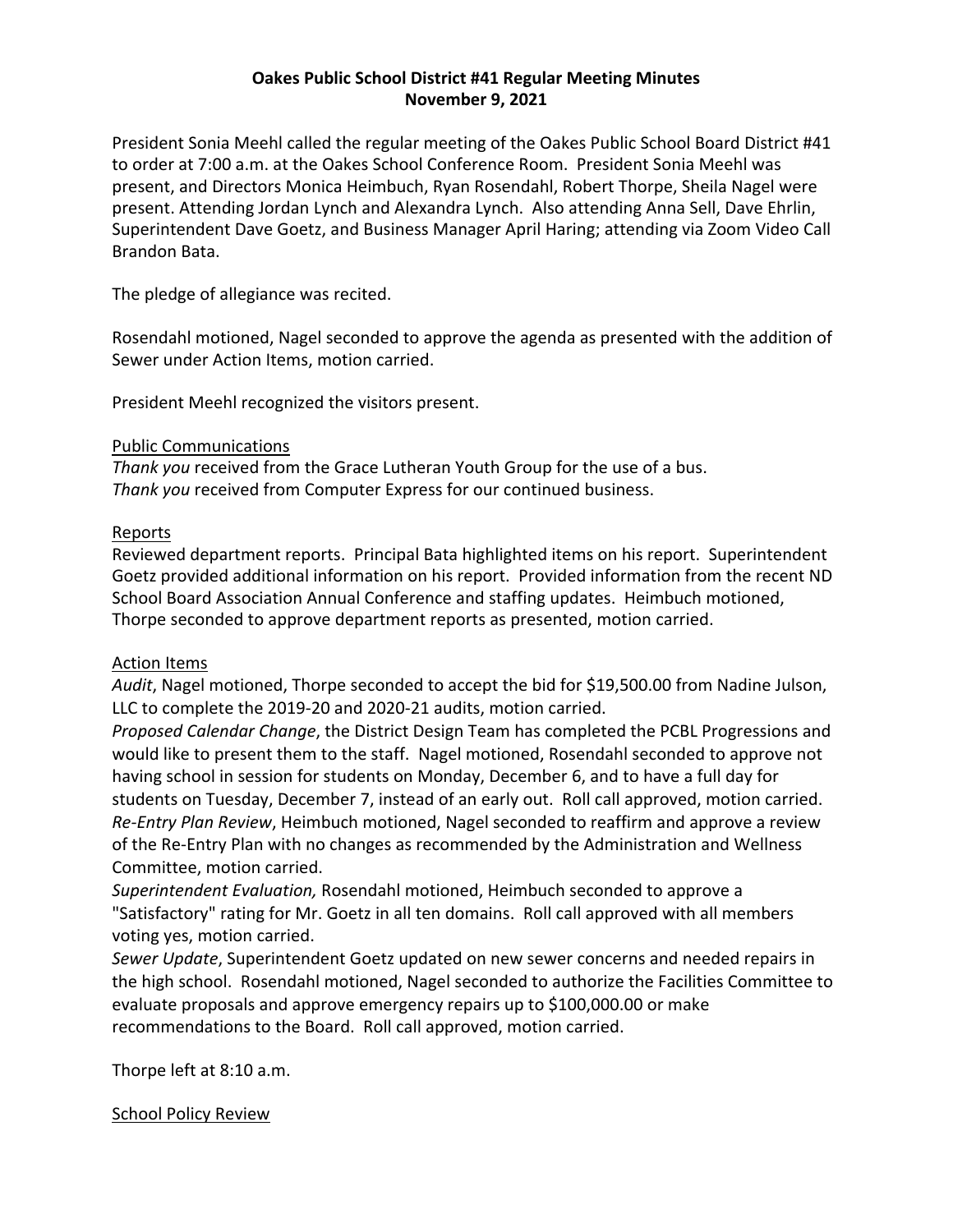# **Oakes Public School District #41 Regular Meeting Minutes November 9, 2021**

President Sonia Meehl called the regular meeting of the Oakes Public School Board District #41 to order at 7:00 a.m. at the Oakes School Conference Room. President Sonia Meehl was present, and Directors Monica Heimbuch, Ryan Rosendahl, Robert Thorpe, Sheila Nagel were present. Attending Jordan Lynch and Alexandra Lynch. Also attending Anna Sell, Dave Ehrlin, Superintendent Dave Goetz, and Business Manager April Haring; attending via Zoom Video Call Brandon Bata.

The pledge of allegiance was recited.

Rosendahl motioned, Nagel seconded to approve the agenda as presented with the addition of Sewer under Action Items, motion carried.

President Meehl recognized the visitors present.

## Public Communications

*Thank you* received from the Grace Lutheran Youth Group for the use of a bus. *Thank you* received from Computer Express for our continued business.

#### Reports

Reviewed department reports. Principal Bata highlighted items on his report. Superintendent Goetz provided additional information on his report. Provided information from the recent ND School Board Association Annual Conference and staffing updates. Heimbuch motioned, Thorpe seconded to approve department reports as presented, motion carried.

## Action Items

*Audit*, Nagel motioned, Thorpe seconded to accept the bid for \$19,500.00 from Nadine Julson, LLC to complete the 2019-20 and 2020-21 audits, motion carried.

*Proposed Calendar Change*, the District Design Team has completed the PCBL Progressions and would like to present them to the staff. Nagel motioned, Rosendahl seconded to approve not having school in session for students on Monday, December 6, and to have a full day for students on Tuesday, December 7, instead of an early out. Roll call approved, motion carried. *Re-Entry Plan Review*, Heimbuch motioned, Nagel seconded to reaffirm and approve a review of the Re-Entry Plan with no changes as recommended by the Administration and Wellness Committee, motion carried.

*Superintendent Evaluation,* Rosendahl motioned, Heimbuch seconded to approve a "Satisfactory" rating for Mr. Goetz in all ten domains. Roll call approved with all members voting yes, motion carried.

*Sewer Update*, Superintendent Goetz updated on new sewer concerns and needed repairs in the high school. Rosendahl motioned, Nagel seconded to authorize the Facilities Committee to evaluate proposals and approve emergency repairs up to \$100,000.00 or make recommendations to the Board. Roll call approved, motion carried.

Thorpe left at 8:10 a.m.

## School Policy Review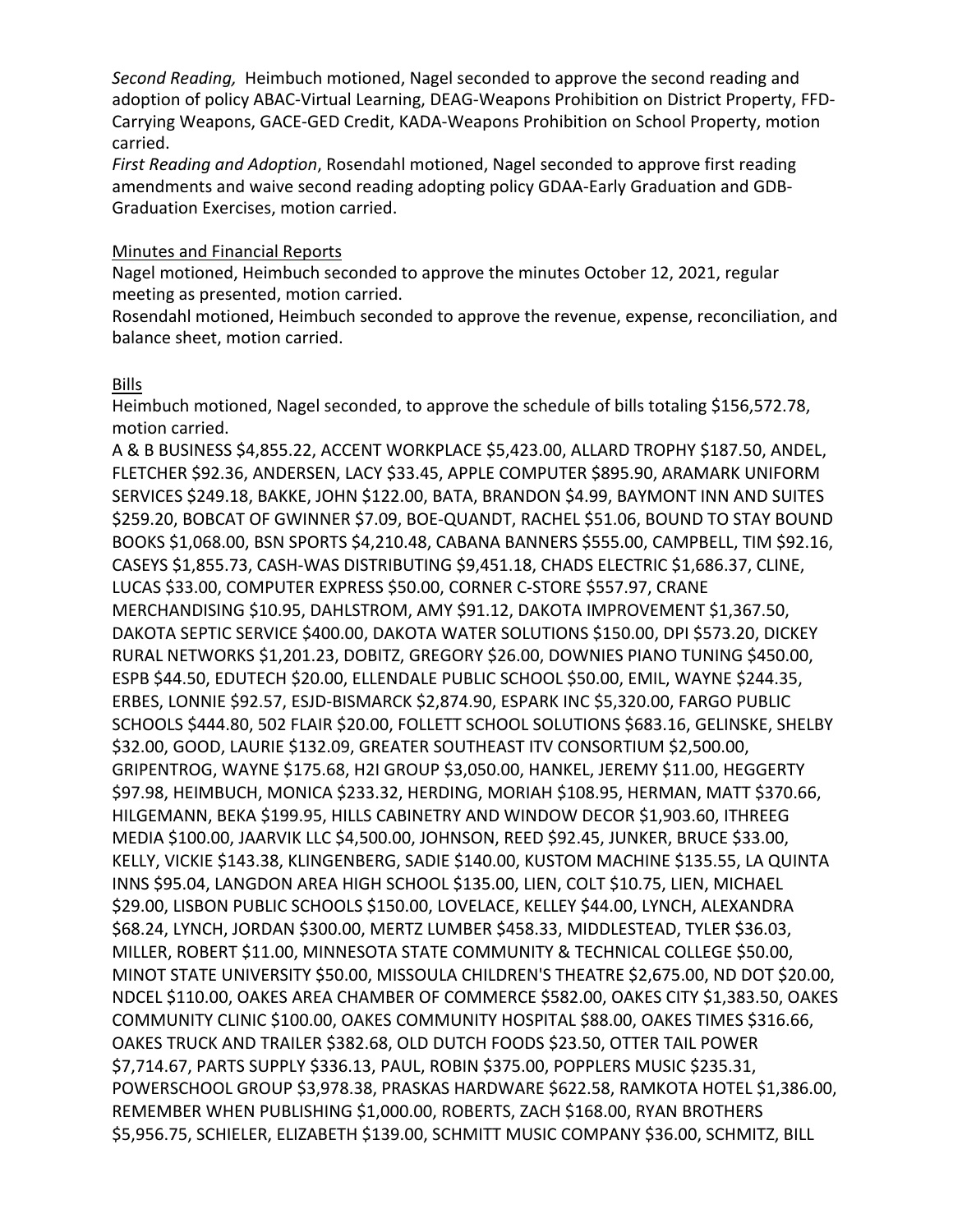*Second Reading,* Heimbuch motioned, Nagel seconded to approve the second reading and adoption of policy ABAC-Virtual Learning, DEAG-Weapons Prohibition on District Property, FFD-Carrying Weapons, GACE-GED Credit, KADA-Weapons Prohibition on School Property, motion carried.

*First Reading and Adoption*, Rosendahl motioned, Nagel seconded to approve first reading amendments and waive second reading adopting policy GDAA-Early Graduation and GDB-Graduation Exercises, motion carried.

#### Minutes and Financial Reports

Nagel motioned, Heimbuch seconded to approve the minutes October 12, 2021, regular meeting as presented, motion carried.

Rosendahl motioned, Heimbuch seconded to approve the revenue, expense, reconciliation, and balance sheet, motion carried.

## Bills

Heimbuch motioned, Nagel seconded, to approve the schedule of bills totaling \$156,572.78, motion carried.

A & B BUSINESS \$4,855.22, ACCENT WORKPLACE \$5,423.00, ALLARD TROPHY \$187.50, ANDEL, FLETCHER \$92.36, ANDERSEN, LACY \$33.45, APPLE COMPUTER \$895.90, ARAMARK UNIFORM SERVICES \$249.18, BAKKE, JOHN \$122.00, BATA, BRANDON \$4.99, BAYMONT INN AND SUITES \$259.20, BOBCAT OF GWINNER \$7.09, BOE-QUANDT, RACHEL \$51.06, BOUND TO STAY BOUND BOOKS \$1,068.00, BSN SPORTS \$4,210.48, CABANA BANNERS \$555.00, CAMPBELL, TIM \$92.16, CASEYS \$1,855.73, CASH-WAS DISTRIBUTING \$9,451.18, CHADS ELECTRIC \$1,686.37, CLINE, LUCAS \$33.00, COMPUTER EXPRESS \$50.00, CORNER C-STORE \$557.97, CRANE MERCHANDISING \$10.95, DAHLSTROM, AMY \$91.12, DAKOTA IMPROVEMENT \$1,367.50, DAKOTA SEPTIC SERVICE \$400.00, DAKOTA WATER SOLUTIONS \$150.00, DPI \$573.20, DICKEY RURAL NETWORKS \$1,201.23, DOBITZ, GREGORY \$26.00, DOWNIES PIANO TUNING \$450.00, ESPB \$44.50, EDUTECH \$20.00, ELLENDALE PUBLIC SCHOOL \$50.00, EMIL, WAYNE \$244.35, ERBES, LONNIE \$92.57, ESJD-BISMARCK \$2,874.90, ESPARK INC \$5,320.00, FARGO PUBLIC SCHOOLS \$444.80, 502 FLAIR \$20.00, FOLLETT SCHOOL SOLUTIONS \$683.16, GELINSKE, SHELBY \$32.00, GOOD, LAURIE \$132.09, GREATER SOUTHEAST ITV CONSORTIUM \$2,500.00, GRIPENTROG, WAYNE \$175.68, H2I GROUP \$3,050.00, HANKEL, JEREMY \$11.00, HEGGERTY \$97.98, HEIMBUCH, MONICA \$233.32, HERDING, MORIAH \$108.95, HERMAN, MATT \$370.66, HILGEMANN, BEKA \$199.95, HILLS CABINETRY AND WINDOW DECOR \$1,903.60, ITHREEG MEDIA \$100.00, JAARVIK LLC \$4,500.00, JOHNSON, REED \$92.45, JUNKER, BRUCE \$33.00, KELLY, VICKIE \$143.38, KLINGENBERG, SADIE \$140.00, KUSTOM MACHINE \$135.55, LA QUINTA INNS \$95.04, LANGDON AREA HIGH SCHOOL \$135.00, LIEN, COLT \$10.75, LIEN, MICHAEL \$29.00, LISBON PUBLIC SCHOOLS \$150.00, LOVELACE, KELLEY \$44.00, LYNCH, ALEXANDRA \$68.24, LYNCH, JORDAN \$300.00, MERTZ LUMBER \$458.33, MIDDLESTEAD, TYLER \$36.03, MILLER, ROBERT \$11.00, MINNESOTA STATE COMMUNITY & TECHNICAL COLLEGE \$50.00, MINOT STATE UNIVERSITY \$50.00, MISSOULA CHILDREN'S THEATRE \$2,675.00, ND DOT \$20.00, NDCEL \$110.00, OAKES AREA CHAMBER OF COMMERCE \$582.00, OAKES CITY \$1,383.50, OAKES COMMUNITY CLINIC \$100.00, OAKES COMMUNITY HOSPITAL \$88.00, OAKES TIMES \$316.66, OAKES TRUCK AND TRAILER \$382.68, OLD DUTCH FOODS \$23.50, OTTER TAIL POWER \$7,714.67, PARTS SUPPLY \$336.13, PAUL, ROBIN \$375.00, POPPLERS MUSIC \$235.31, POWERSCHOOL GROUP \$3,978.38, PRASKAS HARDWARE \$622.58, RAMKOTA HOTEL \$1,386.00, REMEMBER WHEN PUBLISHING \$1,000.00, ROBERTS, ZACH \$168.00, RYAN BROTHERS \$5,956.75, SCHIELER, ELIZABETH \$139.00, SCHMITT MUSIC COMPANY \$36.00, SCHMITZ, BILL